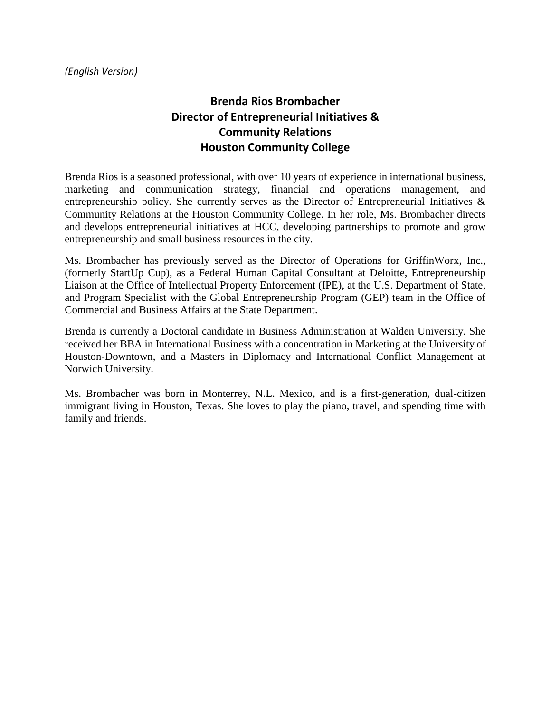## **Brenda Rios Brombacher Director of Entrepreneurial Initiatives & Community Relations Houston Community College**

Brenda Rios is a seasoned professional, with over 10 years of experience in international business, marketing and communication strategy, financial and operations management, and entrepreneurship policy. She currently serves as the Director of Entrepreneurial Initiatives & Community Relations at the Houston Community College. In her role, Ms. Brombacher directs and develops entrepreneurial initiatives at HCC, developing partnerships to promote and grow entrepreneurship and small business resources in the city.

Ms. Brombacher has previously served as the Director of Operations for GriffinWorx, Inc., (formerly StartUp Cup), as a Federal Human Capital Consultant at Deloitte, Entrepreneurship Liaison at the Office of Intellectual Property Enforcement (IPE), at the U.S. Department of State, and Program Specialist with the Global Entrepreneurship Program (GEP) team in the Office of Commercial and Business Affairs at the State Department.

Brenda is currently a Doctoral candidate in Business Administration at Walden University. She received her BBA in International Business with a concentration in Marketing at the University of Houston-Downtown, and a Masters in Diplomacy and International Conflict Management at Norwich University.

Ms. Brombacher was born in Monterrey, N.L. Mexico, and is a first-generation, dual-citizen immigrant living in Houston, Texas. She loves to play the piano, travel, and spending time with family and friends.